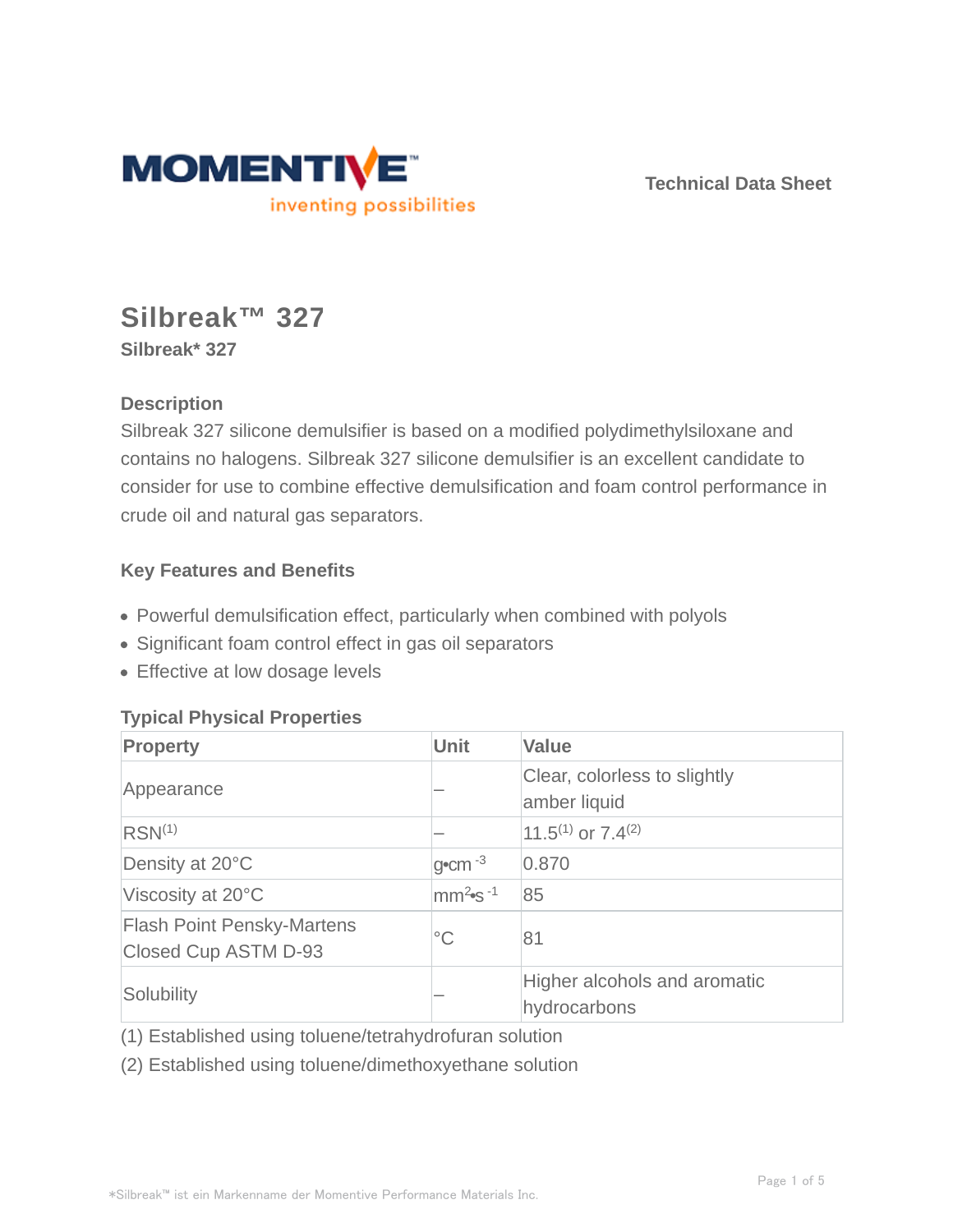

**Technical Data Sheet**

# **Silbreak™ 327**

**Silbreak\* 327**

# **Description**

Silbreak 327 silicone demulsifier is based on a modified polydimethylsiloxane and contains no halogens. Silbreak 327 silicone demulsifier is an excellent candidate to consider for use to combine effective demulsification and foam control performance in crude oil and natural gas separators.

## **Key Features and Benefits**

- Powerful demulsification effect, particularly when combined with polyols
- Significant foam control effect in gas oil separators
- **Effective at low dosage levels**

## **Typical Physical Properties**

| <b>Property</b>                                           | <b>Unit</b>                       | <b>Value</b>                                 |
|-----------------------------------------------------------|-----------------------------------|----------------------------------------------|
| Appearance                                                |                                   | Clear, colorless to slightly<br>amber liquid |
| RSN <sup>(1)</sup>                                        |                                   | 11.5 <sup>(1)</sup> or $7.4^{(2)}$           |
| Density at 20°C                                           | $g$ <sup>o</sup> cm <sup>-3</sup> | 0.870                                        |
| Viscosity at 20°C                                         | $\text{mm}^2$ s <sup>-1</sup>     | 85                                           |
| <b>Flash Point Pensky-Martens</b><br>Closed Cup ASTM D-93 | $^{\circ}C$                       | 81                                           |
| Solubility                                                |                                   | Higher alcohols and aromatic<br>hydrocarbons |

(1) Established using toluene/tetrahydrofuran solution

(2) Established using toluene/dimethoxyethane solution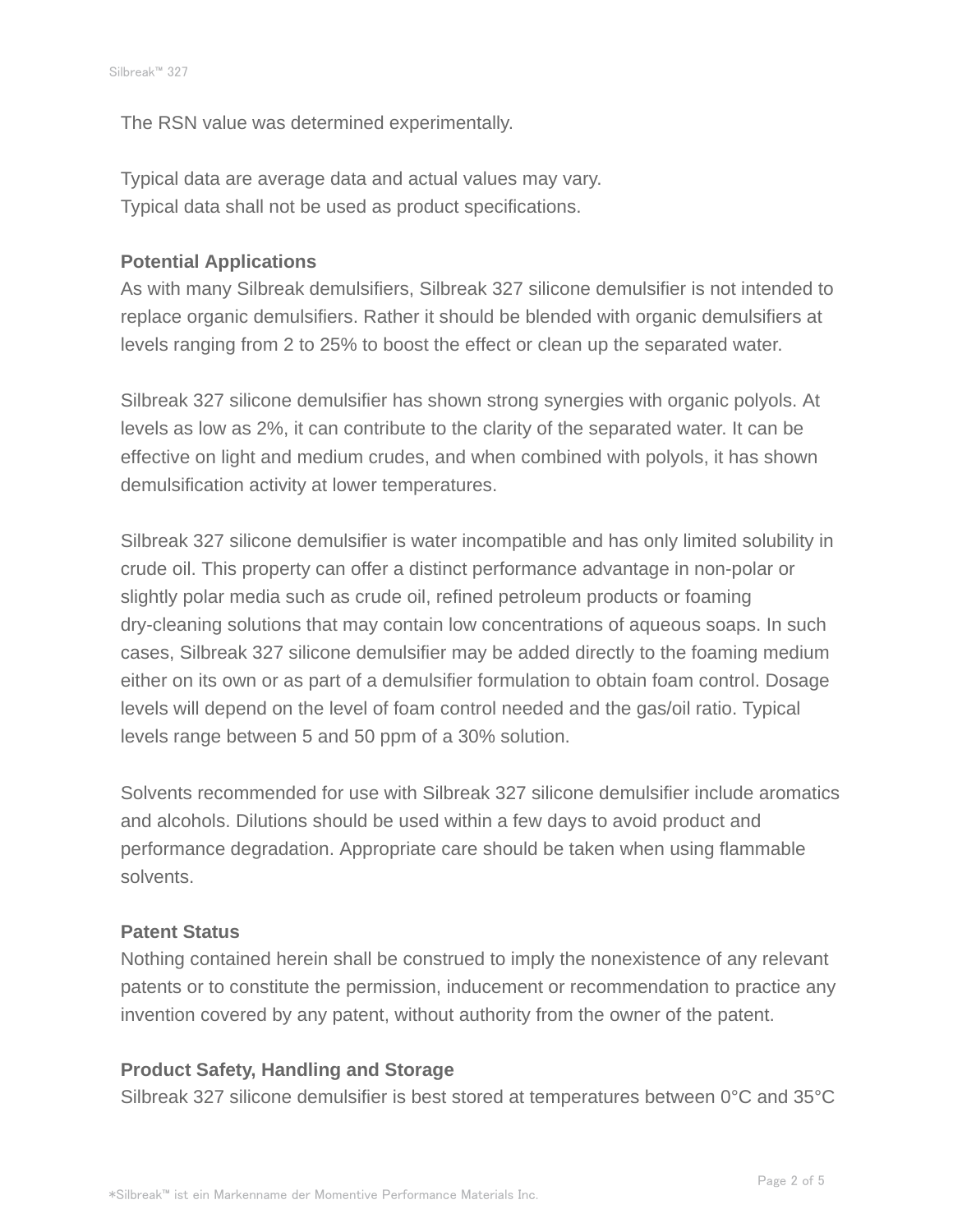The RSN value was determined experimentally.

Typical data are average data and actual values may vary. Typical data shall not be used as product specifications.

#### **Potential Applications**

As with many Silbreak demulsifiers, Silbreak 327 silicone demulsifier is not intended to replace organic demulsifiers. Rather it should be blended with organic demulsifiers at levels ranging from 2 to 25% to boost the effect or clean up the separated water.

Silbreak 327 silicone demulsifier has shown strong synergies with organic polyols. At levels as low as 2%, it can contribute to the clarity of the separated water. It can be effective on light and medium crudes, and when combined with polyols, it has shown demulsification activity at lower temperatures.

Silbreak 327 silicone demulsifier is water incompatible and has only limited solubility in crude oil. This property can offer a distinct performance advantage in non-polar or slightly polar media such as crude oil, refined petroleum products or foaming dry-cleaning solutions that may contain low concentrations of aqueous soaps. In such cases, Silbreak 327 silicone demulsifier may be added directly to the foaming medium either on its own or as part of a demulsifier formulation to obtain foam control. Dosage levels will depend on the level of foam control needed and the gas/oil ratio. Typical levels range between 5 and 50 ppm of a 30% solution.

Solvents recommended for use with Silbreak 327 silicone demulsifier include aromatics and alcohols. Dilutions should be used within a few days to avoid product and performance degradation. Appropriate care should be taken when using flammable solvents.

#### **Patent Status**

Nothing contained herein shall be construed to imply the nonexistence of any relevant patents or to constitute the permission, inducement or recommendation to practice any invention covered by any patent, without authority from the owner of the patent.

#### **Product Safety, Handling and Storage**

Silbreak 327 silicone demulsifier is best stored at temperatures between 0°C and 35°C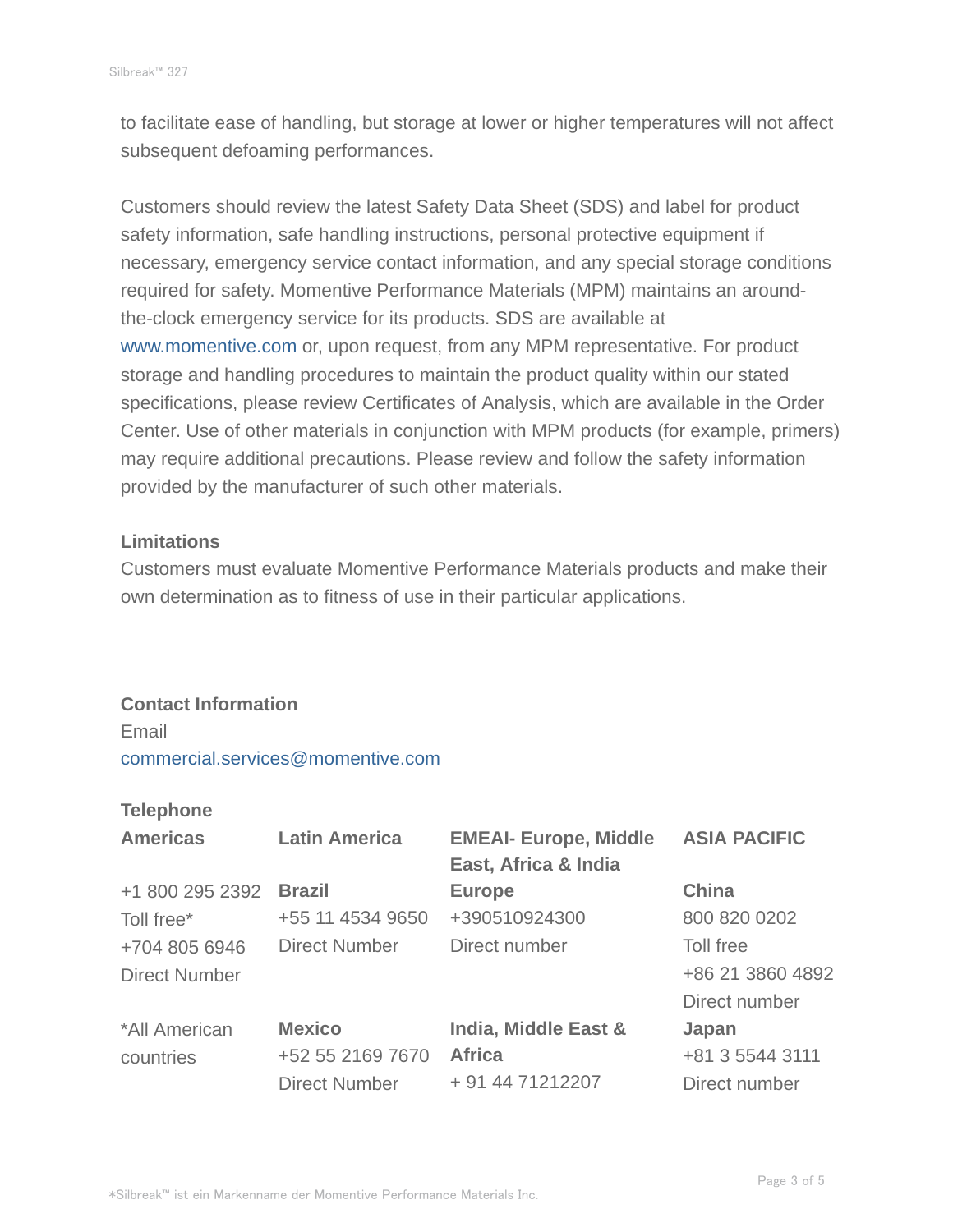to facilitate ease of handling, but storage at lower or higher temperatures will not affect subsequent defoaming performances.

Customers should review the latest Safety Data Sheet (SDS) and label for product safety information, safe handling instructions, personal protective equipment if necessary, emergency service contact information, and any special storage conditions required for safety. Momentive Performance Materials (MPM) maintains an aroundthe-clock emergency service for its products. SDS are available at www.momentive.com or, upon request, from any MPM representative. For product storage and handling procedures to maintain the product quality within our stated specifications, please review Certificates of Analysis, which are available in the Order Center. Use of other materials in conjunction with MPM products (for example, primers) may require additional precautions. Please review and follow the safety information provided by the manufacturer of such other materials.

#### **Limitations**

Customers must evaluate Momentive Performance Materials products and make their own determination as to fitness of use in their particular applications.

## **Contact Information**

Email commercial.services@momentive.com

#### **Telephone**

| <b>Americas</b>      | <b>Latin America</b> | <b>EMEAI- Europe, Middle</b><br>East, Africa & India | <b>ASIA PACIFIC</b> |
|----------------------|----------------------|------------------------------------------------------|---------------------|
| +1 800 295 2392      | <b>Brazil</b>        | <b>Europe</b>                                        | <b>China</b>        |
| Toll free*           | +55 11 4534 9650     | +390510924300                                        | 800 820 0202        |
| +704 805 6946        | <b>Direct Number</b> | Direct number                                        | Toll free           |
| <b>Direct Number</b> |                      |                                                      | +86 21 3860 4892    |
|                      |                      |                                                      | Direct number       |
| *All American        | <b>Mexico</b>        | India, Middle East &                                 | Japan               |
| countries            | +52 55 2169 7670     | <b>Africa</b>                                        | +81 3 5544 3111     |
|                      | <b>Direct Number</b> | + 91 44 71212207                                     | Direct number       |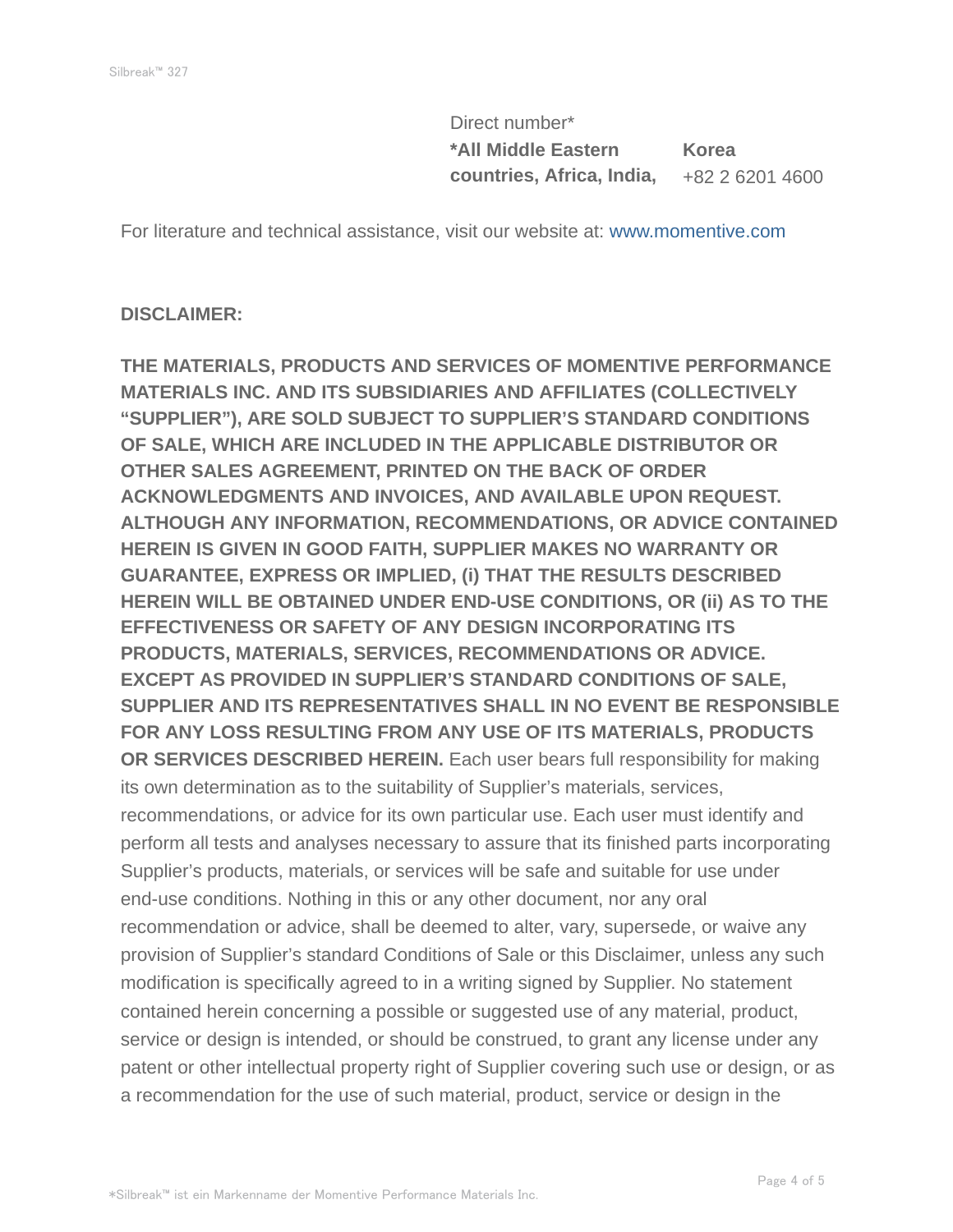Direct number\* **\*All Middle Eastern countries, Africa, India, Korea** +82 2 6201 4600

For literature and technical assistance, visit our website at: www.momentive.com

#### **DISCLAIMER:**

**THE MATERIALS, PRODUCTS AND SERVICES OF MOMENTIVE PERFORMANCE MATERIALS INC. AND ITS SUBSIDIARIES AND AFFILIATES (COLLECTIVELY "SUPPLIER"), ARE SOLD SUBJECT TO SUPPLIER'S STANDARD CONDITIONS OF SALE, WHICH ARE INCLUDED IN THE APPLICABLE DISTRIBUTOR OR OTHER SALES AGREEMENT, PRINTED ON THE BACK OF ORDER ACKNOWLEDGMENTS AND INVOICES, AND AVAILABLE UPON REQUEST. ALTHOUGH ANY INFORMATION, RECOMMENDATIONS, OR ADVICE CONTAINED HEREIN IS GIVEN IN GOOD FAITH, SUPPLIER MAKES NO WARRANTY OR GUARANTEE, EXPRESS OR IMPLIED, (i) THAT THE RESULTS DESCRIBED HEREIN WILL BE OBTAINED UNDER END-USE CONDITIONS, OR (ii) AS TO THE EFFECTIVENESS OR SAFETY OF ANY DESIGN INCORPORATING ITS PRODUCTS, MATERIALS, SERVICES, RECOMMENDATIONS OR ADVICE. EXCEPT AS PROVIDED IN SUPPLIER'S STANDARD CONDITIONS OF SALE, SUPPLIER AND ITS REPRESENTATIVES SHALL IN NO EVENT BE RESPONSIBLE FOR ANY LOSS RESULTING FROM ANY USE OF ITS MATERIALS, PRODUCTS OR SERVICES DESCRIBED HEREIN.** Each user bears full responsibility for making its own determination as to the suitability of Supplier's materials, services, recommendations, or advice for its own particular use. Each user must identify and perform all tests and analyses necessary to assure that its finished parts incorporating Supplier's products, materials, or services will be safe and suitable for use under end-use conditions. Nothing in this or any other document, nor any oral recommendation or advice, shall be deemed to alter, vary, supersede, or waive any provision of Supplier's standard Conditions of Sale or this Disclaimer, unless any such modification is specifically agreed to in a writing signed by Supplier. No statement contained herein concerning a possible or suggested use of any material, product, service or design is intended, or should be construed, to grant any license under any patent or other intellectual property right of Supplier covering such use or design, or as a recommendation for the use of such material, product, service or design in the